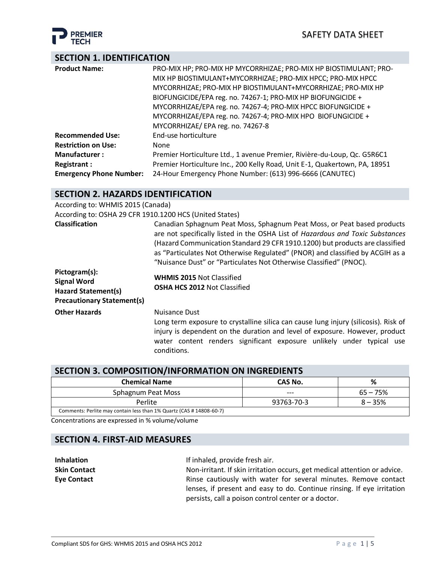

# **SECTION 1. IDENTIFICATION**

| <b>Product Name:</b>           | PRO-MIX HP; PRO-MIX HP MYCORRHIZAE; PRO-MIX HP BIOSTIMULANT; PRO-          |
|--------------------------------|----------------------------------------------------------------------------|
|                                | MIX HP BIOSTIMULANT+MYCORRHIZAE; PRO-MIX HPCC; PRO-MIX HPCC                |
|                                | MYCORRHIZAE; PRO-MIX HP BIOSTIMULANT+MYCORRHIZAE; PRO-MIX HP               |
|                                | BIOFUNGICIDE/EPA reg. no. 74267-1; PRO-MIX HP BIOFUNGICIDE +               |
|                                | MYCORRHIZAE/EPA reg. no. 74267-4; PRO-MIX HPCC BIOFUNGICIDE +              |
|                                | MYCORRHIZAE/EPA reg. no. 74267-4; PRO-MIX HPO BIOFUNGICIDE +               |
|                                | MYCORRHIZAE/ EPA reg. no. 74267-8                                          |
| <b>Recommended Use:</b>        | End-use horticulture                                                       |
| <b>Restriction on Use:</b>     | None                                                                       |
| <b>Manufacturer:</b>           | Premier Horticulture Ltd., 1 avenue Premier, Rivière-du-Loup, Qc. G5R6C1   |
| <b>Registrant:</b>             | Premier Horticulture Inc., 200 Kelly Road, Unit E-1, Quakertown, PA, 18951 |
| <b>Emergency Phone Number:</b> | 24-Hour Emergency Phone Number: (613) 996-6666 (CANUTEC)                   |

# **SECTION 2. HAZARDS IDENTIFICATION**

| According to: WHMIS 2015 (Canada)                                                                      |                                                                                                                                                                                                                                                                                                                                                                                                  |
|--------------------------------------------------------------------------------------------------------|--------------------------------------------------------------------------------------------------------------------------------------------------------------------------------------------------------------------------------------------------------------------------------------------------------------------------------------------------------------------------------------------------|
| According to: OSHA 29 CFR 1910.1200 HCS (United States)                                                |                                                                                                                                                                                                                                                                                                                                                                                                  |
| <b>Classification</b>                                                                                  | Canadian Sphagnum Peat Moss, Sphagnum Peat Moss, or Peat based products<br>are not specifically listed in the OSHA List of Hazardous and Toxic Substances<br>(Hazard Communication Standard 29 CFR 1910.1200) but products are classified<br>as "Particulates Not Otherwise Regulated" (PNOR) and classified by ACGIH as a<br>"Nuisance Dust" or "Particulates Not Otherwise Classified" (PNOC). |
| Pictogram(s):<br><b>Signal Word</b><br><b>Hazard Statement(s)</b><br><b>Precautionary Statement(s)</b> | <b>WHMIS 2015 Not Classified</b><br><b>OSHA HCS 2012 Not Classified</b>                                                                                                                                                                                                                                                                                                                          |
| <b>Other Hazards</b>                                                                                   | <b>Nuisance Dust</b><br>Long term exposure to crystalline silica can cause lung injury (silicosis). Risk of<br>injury is dependent on the duration and level of exposure. However, product<br>water content renders significant exposure unlikely under typical use<br>conditions.                                                                                                               |

# **SECTION 3. COMPOSITION/INFORMATION ON INGREDIENTS**

| <b>Chemical Name</b>                                                 | CAS No.    | %          |
|----------------------------------------------------------------------|------------|------------|
| Sphagnum Peat Moss                                                   | $---$      | $65 - 75%$ |
| Perlite                                                              | 93763-70-3 | $8 - 35%$  |
| Comments: Perlite may contain less than 1% Quartz (CAS # 14808-60-7) |            |            |

Concentrations are expressed in % volume/volume

# **SECTION 4. FIRST-AID MEASURES**

| <b>Inhalation</b>   | If inhaled, provide fresh air.                                            |
|---------------------|---------------------------------------------------------------------------|
| <b>Skin Contact</b> | Non-irritant. If skin irritation occurs, get medical attention or advice. |
| <b>Eve Contact</b>  | Rinse cautiously with water for several minutes. Remove contact           |
|                     | lenses, if present and easy to do. Continue rinsing. If eye irritation    |
|                     | persists, call a poison control center or a doctor.                       |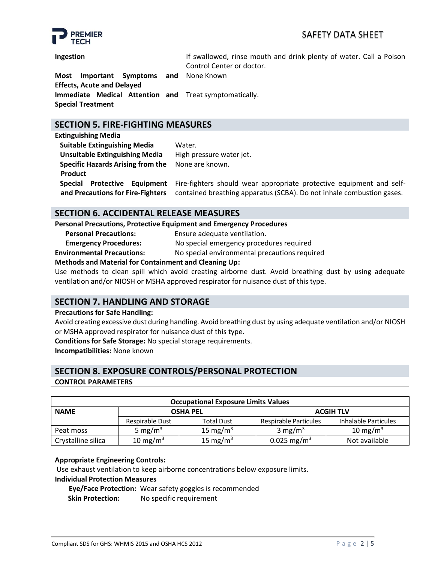# SAFETY DATA SHEET



**Ingestion If** swallowed, rinse mouth and drink plenty of water. Call a Poison Control Center or doctor.

**Most Important Symptoms and Effects, Acute and Delayed** None Known **Immediate Medical Attention and**  Treat symptomatically. **Special Treatment**

# **SECTION 5. FIRE-FIGHTING MEASURES**

**Extinguishing Media**

**Product**

**Suitable Extinguishing Media** Water. **Unsuitable Extinguishing Media** High pressure water jet.  **Specific Hazards Arising from the**  None are known.  **Special Protective Equipment and Precautions for Fire-Fighters**

Fire-fighters should wear appropriate protective equipment and selfcontained breathing apparatus (SCBA). Do not inhale combustion gases.

# **SECTION 6. ACCIDENTAL RELEASE MEASURES**

**Personal Precautions, Protective Equipment and Emergency Procedures**

**Personal Precautions:** Ensure adequate ventilation. **Emergency Procedures:** No special emergency procedures required

**Environmental Precautions:** No special environmental precautions required

## **Methods and Material for Containment and Cleaning Up:**

Use methods to clean spill which avoid creating airborne dust. Avoid breathing dust by using adequate ventilation and/or NIOSH or MSHA approved respirator for nuisance dust of this type.

# **SECTION 7. HANDLING AND STORAGE**

#### **Precautions for Safe Handling:**

Avoid creating excessive dust during handling. Avoid breathing dust by using adequate ventilation and/or NIOSH or MSHA approved respirator for nuisance dust of this type.

**Conditions for Safe Storage:** No special storage requirements.

**Incompatibilities:** None known

# **SECTION 8. EXPOSURE CONTROLS/PERSONAL PROTECTION**

## **CONTROL PARAMETERS**

| <b>Occupational Exposure Limits Values</b> |                     |                   |                         |                      |  |  |
|--------------------------------------------|---------------------|-------------------|-------------------------|----------------------|--|--|
| <b>NAME</b>                                | <b>OSHA PEL</b>     |                   | <b>ACGIH TLV</b>        |                      |  |  |
|                                            | Respirable Dust     | <b>Total Dust</b> | Respirable Particules   | Inhalable Particules |  |  |
| Peat moss                                  | 5 mg/m <sup>3</sup> | 15 mg/m $3$       | 3 mg/m <sup>3</sup>     | 10 mg/m $^3$         |  |  |
| Crystalline silica                         | 10 mg/m $3$         | 15 mg/m $3$       | 0.025 mg/m <sup>3</sup> | Not available        |  |  |

## **Appropriate Engineering Controls:**

Use exhaust ventilation to keep airborne concentrations below exposure limits.

#### **Individual Protection Measures**

 **Eye/Face Protection:** Wear safety goggles is recommended

**Skin Protection:** No specific requirement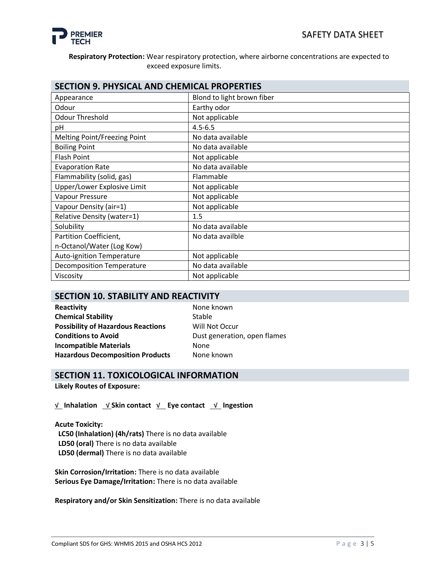

## **Respiratory Protection:** Wear respiratory protection, where airborne concentrations are expected to exceed exposure limits.

| <b>SECTION 9. PHYSICAL AND CHEMICAL PROPERTIES</b> |                            |  |
|----------------------------------------------------|----------------------------|--|
| Appearance                                         | Blond to light brown fiber |  |
| Odour                                              | Earthy odor                |  |
| <b>Odour Threshold</b>                             | Not applicable             |  |
| pH                                                 | $4.5 - 6.5$                |  |
| Melting Point/Freezing Point                       | No data available          |  |
| <b>Boiling Point</b>                               | No data available          |  |
| Flash Point                                        | Not applicable             |  |
| <b>Evaporation Rate</b>                            | No data available          |  |
| Flammability (solid, gas)                          | Flammable                  |  |
| Upper/Lower Explosive Limit                        | Not applicable             |  |
| Vapour Pressure                                    | Not applicable             |  |
| Vapour Density (air=1)                             | Not applicable             |  |
| <b>Relative Density (water=1)</b>                  | 1.5                        |  |
| Solubility                                         | No data available          |  |
| Partition Coefficient,                             | No data availble           |  |
| n-Octanol/Water (Log Kow)                          |                            |  |
| <b>Auto-ignition Temperature</b>                   | Not applicable             |  |
| <b>Decomposition Temperature</b>                   | No data available          |  |
| Viscosity                                          | Not applicable             |  |

## **SECTION 10. STABILITY AND REACTIVITY**

**Reactivity None known Chemical Stability** Stable **Possibility of Hazardous Reactions** Will Not Occur **Conditions to Avoid Dust generation, open flames Incompatible Materials None Hazardous Decomposition Products** None known

## **SECTION 11. TOXICOLOGICAL INFORMATION**

**Likely Routes of Exposure:**

√ **Inhalation** √ **Skin contact** √ **Eye contact** √ **Ingestion**

**Acute Toxicity: LC50 (Inhalation) (4h/rats)** There is no data available  **LD50 (oral)** There is no data available  **LD50 (dermal)** There is no data available

**Skin Corrosion/Irritation:** There is no data available **Serious Eye Damage/Irritation:** There is no data available

**Respiratory and/or Skin Sensitization:** There is no data available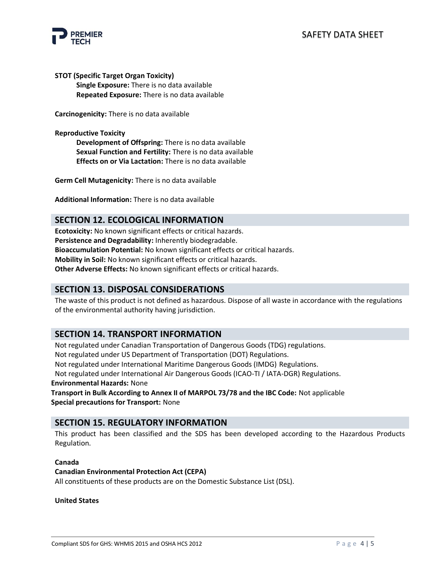

**STOT (Specific Target Organ Toxicity) Single Exposure:** There is no data available **Repeated Exposure:** There is no data available

**Carcinogenicity:** There is no data available

**Reproductive Toxicity**

**Development of Offspring:** There is no data available **Sexual Function and Fertility:** There is no data available **Effects on or Via Lactation:** There is no data available

**Germ Cell Mutagenicity:** There is no data available

**Additional Information:** There is no data available

## **SECTION 12. ECOLOGICAL INFORMATION**

**Ecotoxicity:** No known significant effects or critical hazards. **Persistence and Degradability:** Inherently biodegradable. **Bioaccumulation Potential:** No known significant effects or critical hazards. **Mobility in Soil:** No known significant effects or critical hazards. **Other Adverse Effects:** No known significant effects or critical hazards.

## **SECTION 13. DISPOSAL CONSIDERATIONS**

The waste of this product is not defined as hazardous. Dispose of all waste in accordance with the regulations of the environmental authority having jurisdiction.

# **SECTION 14. TRANSPORT INFORMATION**

Not regulated under Canadian Transportation of Dangerous Goods (TDG) regulations.

Not regulated under US Department of Transportation (DOT) Regulations.

Not regulated under International Maritime Dangerous Goods (IMDG) Regulations.

Not regulated under International Air Dangerous Goods (ICAO-TI / IATA-DGR) Regulations.

**Environmental Hazards:** None

**Transport in Bulk According to Annex II of MARPOL 73/78 and the IBC Code:** Not applicable **Special precautions for Transport:** None

## **SECTION 15. REGULATORY INFORMATION**

This product has been classified and the SDS has been developed according to the Hazardous Products Regulation.

#### **Canada**

#### **Canadian Environmental Protection Act (CEPA)**

All constituents of these products are on the Domestic Substance List (DSL).

**United States**